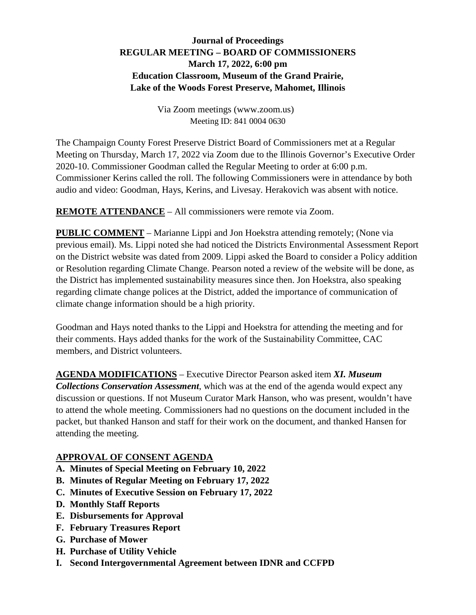### **Journal of Proceedings REGULAR MEETING – BOARD OF COMMISSIONERS March 17, 2022, 6:00 pm Education Classroom, Museum of the Grand Prairie, Lake of the Woods Forest Preserve, Mahomet, Illinois**

Via Zoom meetings (www.zoom.us) Meeting ID: 841 0004 0630

The Champaign County Forest Preserve District Board of Commissioners met at a Regular Meeting on Thursday, March 17, 2022 via Zoom due to the Illinois Governor's Executive Order 2020-10. Commissioner Goodman called the Regular Meeting to order at 6:00 p.m. Commissioner Kerins called the roll. The following Commissioners were in attendance by both audio and video: Goodman, Hays, Kerins, and Livesay. Herakovich was absent with notice.

**REMOTE ATTENDANCE** – All commissioners were remote via Zoom.

**PUBLIC COMMENT** – Marianne Lippi and Jon Hoekstra attending remotely; (None via previous email). Ms. Lippi noted she had noticed the Districts Environmental Assessment Report on the District website was dated from 2009. Lippi asked the Board to consider a Policy addition or Resolution regarding Climate Change. Pearson noted a review of the website will be done, as the District has implemented sustainability measures since then. Jon Hoekstra, also speaking regarding climate change polices at the District, added the importance of communication of climate change information should be a high priority.

Goodman and Hays noted thanks to the Lippi and Hoekstra for attending the meeting and for their comments. Hays added thanks for the work of the Sustainability Committee, CAC members, and District volunteers.

**AGENDA MODIFICATIONS** – Executive Director Pearson asked item *XI. Museum* 

*Collections Conservation Assessment*, which was at the end of the agenda would expect any discussion or questions. If not Museum Curator Mark Hanson, who was present, wouldn't have to attend the whole meeting. Commissioners had no questions on the document included in the packet, but thanked Hanson and staff for their work on the document, and thanked Hansen for attending the meeting.

### **APPROVAL OF CONSENT AGENDA**

- **A. Minutes of Special Meeting on February 10, 2022**
- **B. Minutes of Regular Meeting on February 17, 2022**
- **C. Minutes of Executive Session on February 17, 2022**
- **D. Monthly Staff Reports**
- **E. Disbursements for Approval**
- **F. February Treasures Report**
- **G. Purchase of Mower**
- **H. Purchase of Utility Vehicle**
- **I. Second Intergovernmental Agreement between IDNR and CCFPD**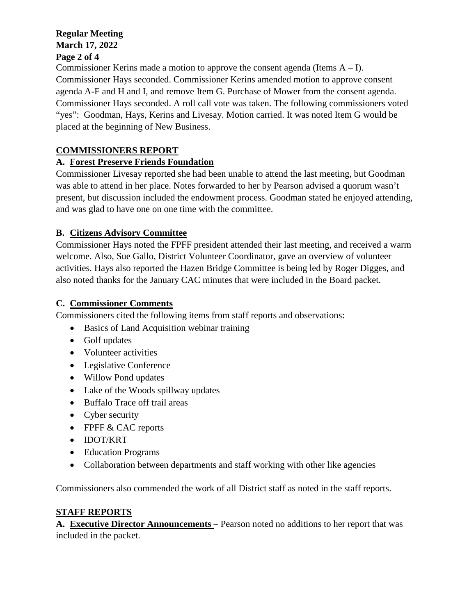#### **Regular Meeting March 17, 2022 Page 2 of 4**

### Commissioner Kerins made a motion to approve the consent agenda (Items  $A - I$ ). Commissioner Hays seconded. Commissioner Kerins amended motion to approve consent agenda A-F and H and I, and remove Item G. Purchase of Mower from the consent agenda. Commissioner Hays seconded. A roll call vote was taken. The following commissioners voted "yes": Goodman, Hays, Kerins and Livesay. Motion carried. It was noted Item G would be placed at the beginning of New Business.

# **COMMISSIONERS REPORT**

## **A. Forest Preserve Friends Foundation**

Commissioner Livesay reported she had been unable to attend the last meeting, but Goodman was able to attend in her place. Notes forwarded to her by Pearson advised a quorum wasn't present, but discussion included the endowment process. Goodman stated he enjoyed attending, and was glad to have one on one time with the committee.

## **B. Citizens Advisory Committee**

Commissioner Hays noted the FPFF president attended their last meeting, and received a warm welcome. Also, Sue Gallo, District Volunteer Coordinator, gave an overview of volunteer activities. Hays also reported the Hazen Bridge Committee is being led by Roger Digges, and also noted thanks for the January CAC minutes that were included in the Board packet.

## **C. Commissioner Comments**

Commissioners cited the following items from staff reports and observations:

- Basics of Land Acquisition webinar training
- Golf updates
- Volunteer activities
- Legislative Conference
- Willow Pond updates
- Lake of the Woods spillway updates
- Buffalo Trace off trail areas
- Cyber security
- FPFF & CAC reports
- IDOT/KRT
- Education Programs
- Collaboration between departments and staff working with other like agencies

Commissioners also commended the work of all District staff as noted in the staff reports.

# **STAFF REPORTS**

**A. Executive Director Announcements** – Pearson noted no additions to her report that was included in the packet.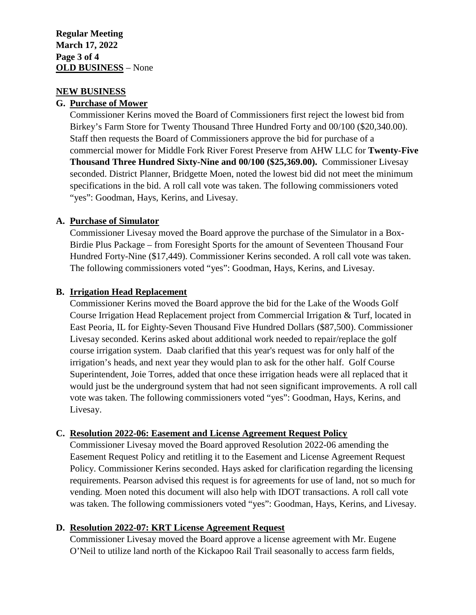#### **NEW BUSINESS**

#### **G. Purchase of Mower**

Commissioner Kerins moved the Board of Commissioners first reject the lowest bid from Birkey's Farm Store for Twenty Thousand Three Hundred Forty and 00/100 (\$20,340.00). Staff then requests the Board of Commissioners approve the bid for purchase of a commercial mower for Middle Fork River Forest Preserve from AHW LLC for **Twenty-Five Thousand Three Hundred Sixty-Nine and 00/100 (\$25,369.00).** Commissioner Livesay seconded. District Planner, Bridgette Moen, noted the lowest bid did not meet the minimum specifications in the bid. A roll call vote was taken. The following commissioners voted "yes": Goodman, Hays, Kerins, and Livesay.

#### **A. Purchase of Simulator**

Commissioner Livesay moved the Board approve the purchase of the Simulator in a Box-Birdie Plus Package – from Foresight Sports for the amount of Seventeen Thousand Four Hundred Forty-Nine (\$17,449). Commissioner Kerins seconded. A roll call vote was taken. The following commissioners voted "yes": Goodman, Hays, Kerins, and Livesay.

#### **B. Irrigation Head Replacement**

Commissioner Kerins moved the Board approve the bid for the Lake of the Woods Golf Course Irrigation Head Replacement project from Commercial Irrigation & Turf, located in East Peoria, IL for Eighty-Seven Thousand Five Hundred Dollars (\$87,500). Commissioner Livesay seconded. Kerins asked about additional work needed to repair/replace the golf course irrigation system. Daab clarified that this year's request was for only half of the irrigation's heads, and next year they would plan to ask for the other half. Golf Course Superintendent, Joie Torres, added that once these irrigation heads were all replaced that it would just be the underground system that had not seen significant improvements. A roll call vote was taken. The following commissioners voted "yes": Goodman, Hays, Kerins, and Livesay.

#### **C. Resolution 2022-06: Easement and License Agreement Request Policy**

Commissioner Livesay moved the Board approved Resolution 2022-06 amending the Easement Request Policy and retitling it to the Easement and License Agreement Request Policy. Commissioner Kerins seconded. Hays asked for clarification regarding the licensing requirements. Pearson advised this request is for agreements for use of land, not so much for vending. Moen noted this document will also help with IDOT transactions. A roll call vote was taken. The following commissioners voted "yes": Goodman, Hays, Kerins, and Livesay.

#### **D. Resolution 2022-07: KRT License Agreement Request**

Commissioner Livesay moved the Board approve a license agreement with Mr. Eugene O'Neil to utilize land north of the Kickapoo Rail Trail seasonally to access farm fields,